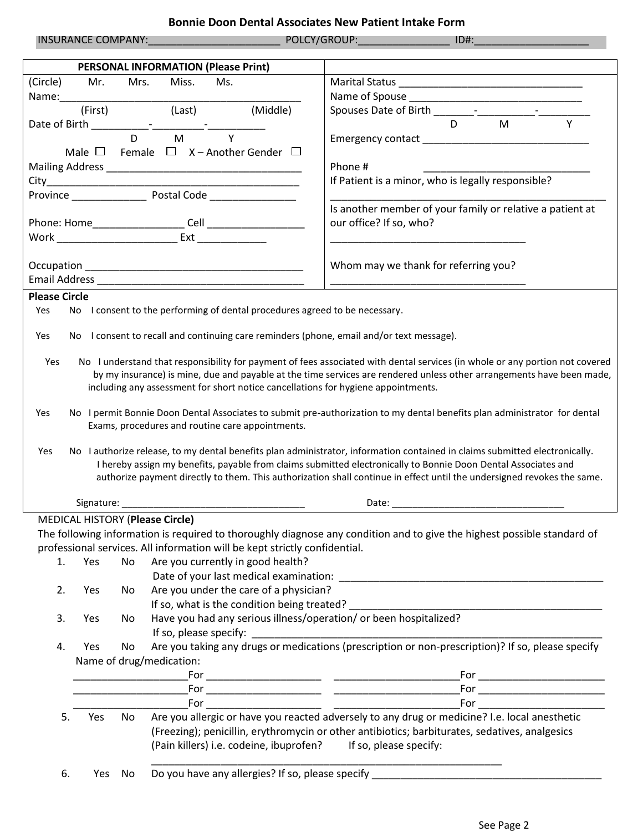## **Bonnie Doon Dental Associates New Patient Intake Form**

|                      |            |      | INSURANCE COMPANY: And the company of the company of the company of the company of the company of the company of the company of the company of the company of the company of the company of the company of the company of the |                                         | POLCY/GROUP: ID#: ID#:                                                                                                                                                                                                        |
|----------------------|------------|------|-------------------------------------------------------------------------------------------------------------------------------------------------------------------------------------------------------------------------------|-----------------------------------------|-------------------------------------------------------------------------------------------------------------------------------------------------------------------------------------------------------------------------------|
|                      |            |      | <b>PERSONAL INFORMATION (Please Print)</b>                                                                                                                                                                                    |                                         |                                                                                                                                                                                                                               |
| (Circle)             | Mr.        | Mrs. | Miss.<br>Ms.                                                                                                                                                                                                                  |                                         |                                                                                                                                                                                                                               |
|                      |            |      |                                                                                                                                                                                                                               |                                         |                                                                                                                                                                                                                               |
|                      |            |      | Name: (First) (Last) (Middle)                                                                                                                                                                                                 |                                         |                                                                                                                                                                                                                               |
|                      |            |      |                                                                                                                                                                                                                               |                                         | M <sub>1</sub><br>D.                                                                                                                                                                                                          |
|                      |            |      |                                                                                                                                                                                                                               |                                         |                                                                                                                                                                                                                               |
|                      |            |      | Male $\Box$ Female $\Box$ X - Another Gender $\Box$                                                                                                                                                                           |                                         |                                                                                                                                                                                                                               |
|                      |            |      |                                                                                                                                                                                                                               |                                         | Phone #                                                                                                                                                                                                                       |
|                      |            |      |                                                                                                                                                                                                                               |                                         | If Patient is a minor, who is legally responsible?                                                                                                                                                                            |
|                      |            |      |                                                                                                                                                                                                                               |                                         |                                                                                                                                                                                                                               |
|                      |            |      |                                                                                                                                                                                                                               |                                         | Is another member of your family or relative a patient at                                                                                                                                                                     |
|                      |            |      |                                                                                                                                                                                                                               |                                         | our office? If so, who?                                                                                                                                                                                                       |
|                      |            |      |                                                                                                                                                                                                                               |                                         |                                                                                                                                                                                                                               |
|                      |            |      |                                                                                                                                                                                                                               |                                         |                                                                                                                                                                                                                               |
|                      |            |      |                                                                                                                                                                                                                               |                                         | Whom may we thank for referring you?                                                                                                                                                                                          |
|                      |            |      |                                                                                                                                                                                                                               |                                         |                                                                                                                                                                                                                               |
| <b>Please Circle</b> |            |      |                                                                                                                                                                                                                               |                                         |                                                                                                                                                                                                                               |
| Yes                  |            |      |                                                                                                                                                                                                                               |                                         | No I consent to the performing of dental procedures agreed to be necessary.                                                                                                                                                   |
|                      |            |      |                                                                                                                                                                                                                               |                                         |                                                                                                                                                                                                                               |
| Yes                  |            |      |                                                                                                                                                                                                                               |                                         | No I consent to recall and continuing care reminders (phone, email and/or text message).                                                                                                                                      |
|                      |            |      |                                                                                                                                                                                                                               |                                         |                                                                                                                                                                                                                               |
| Yes                  |            |      |                                                                                                                                                                                                                               |                                         | No I understand that responsibility for payment of fees associated with dental services (in whole or any portion not covered                                                                                                  |
|                      |            |      |                                                                                                                                                                                                                               |                                         | by my insurance) is mine, due and payable at the time services are rendered unless other arrangements have been made,                                                                                                         |
|                      |            |      |                                                                                                                                                                                                                               |                                         | including any assessment for short notice cancellations for hygiene appointments.                                                                                                                                             |
|                      |            |      |                                                                                                                                                                                                                               |                                         |                                                                                                                                                                                                                               |
| Yes                  |            |      |                                                                                                                                                                                                                               |                                         | No I permit Bonnie Doon Dental Associates to submit pre-authorization to my dental benefits plan administrator for dental                                                                                                     |
|                      |            |      | Exams, procedures and routine care appointments.                                                                                                                                                                              |                                         |                                                                                                                                                                                                                               |
| Yes                  |            |      |                                                                                                                                                                                                                               |                                         | No I authorize release, to my dental benefits plan administrator, information contained in claims submitted electronically.                                                                                                   |
|                      |            |      |                                                                                                                                                                                                                               |                                         | I hereby assign my benefits, payable from claims submitted electronically to Bonnie Doon Dental Associates and                                                                                                                |
|                      |            |      |                                                                                                                                                                                                                               |                                         | authorize payment directly to them. This authorization shall continue in effect until the undersigned revokes the same.                                                                                                       |
|                      |            |      |                                                                                                                                                                                                                               |                                         |                                                                                                                                                                                                                               |
|                      | Signature: |      |                                                                                                                                                                                                                               |                                         | Date:                                                                                                                                                                                                                         |
|                      |            |      | MEDICAL HISTORY (Please Circle)                                                                                                                                                                                               |                                         |                                                                                                                                                                                                                               |
|                      |            |      |                                                                                                                                                                                                                               |                                         | The following information is required to thoroughly diagnose any condition and to give the highest possible standard of                                                                                                       |
|                      |            |      | professional services. All information will be kept strictly confidential.                                                                                                                                                    |                                         |                                                                                                                                                                                                                               |
| 1.                   | Yes        | No   | Are you currently in good health?                                                                                                                                                                                             |                                         |                                                                                                                                                                                                                               |
|                      |            |      |                                                                                                                                                                                                                               |                                         | Date of your last medical examination: example and a series of your last medical examination of the series of the series of the series of the series of the series of the series of the series of the series of the series of |
| 2.                   | Yes        | No   |                                                                                                                                                                                                                               | Are you under the care of a physician?  |                                                                                                                                                                                                                               |
|                      |            |      |                                                                                                                                                                                                                               |                                         |                                                                                                                                                                                                                               |
| 3.                   | Yes        | No   |                                                                                                                                                                                                                               |                                         | Have you had any serious illness/operation/ or been hospitalized?                                                                                                                                                             |
|                      |            |      | If so, please specify:                                                                                                                                                                                                        |                                         | <u> 1980 - Jan James James Barnett, fransk politik (</u>                                                                                                                                                                      |
| 4.                   | Yes        | No   |                                                                                                                                                                                                                               |                                         | Are you taking any drugs or medications (prescription or non-prescription)? If so, please specify                                                                                                                             |
|                      |            |      | Name of drug/medication:                                                                                                                                                                                                      |                                         |                                                                                                                                                                                                                               |
|                      |            |      |                                                                                                                                                                                                                               |                                         | _For _______________________________                                                                                                                                                                                          |
|                      |            |      |                                                                                                                                                                                                                               |                                         | _For ____________________________                                                                                                                                                                                             |
|                      |            |      |                                                                                                                                                                                                                               |                                         |                                                                                                                                                                                                                               |
| 5.                   | Yes        | No   |                                                                                                                                                                                                                               |                                         | Are you allergic or have you reacted adversely to any drug or medicine? I.e. local anesthetic                                                                                                                                 |
|                      |            |      |                                                                                                                                                                                                                               |                                         | (Freezing); penicillin, erythromycin or other antibiotics; barbiturates, sedatives, analgesics                                                                                                                                |
|                      |            |      |                                                                                                                                                                                                                               | (Pain killers) i.e. codeine, ibuprofen? | If so, please specify:                                                                                                                                                                                                        |
|                      |            |      |                                                                                                                                                                                                                               |                                         |                                                                                                                                                                                                                               |
|                      |            |      |                                                                                                                                                                                                                               |                                         | Do you have any allergies? If so, please specify _______________________________                                                                                                                                              |
| 6.                   | Yes        | No   |                                                                                                                                                                                                                               |                                         |                                                                                                                                                                                                                               |